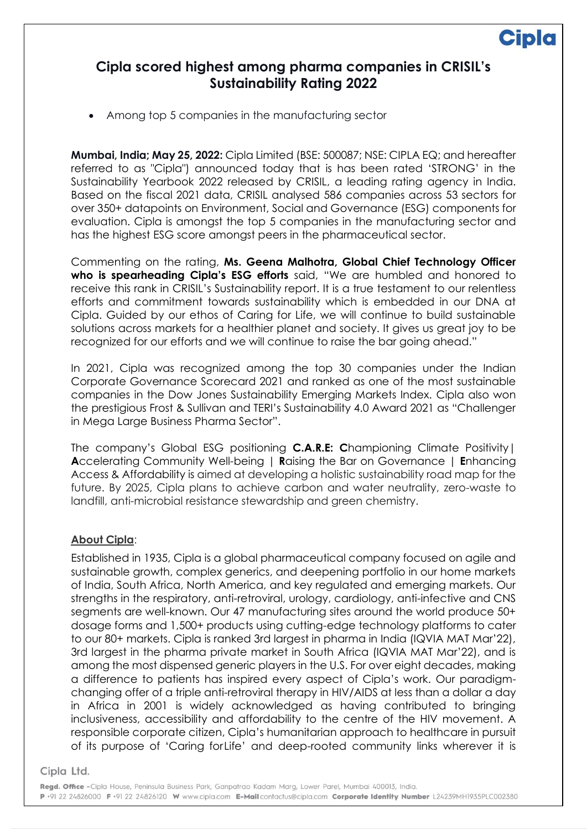## **Cipla scored highest among pharma companies in CRISIL's Sustainability Rating 2022**

• Among top 5 companies in the manufacturing sector

**Mumbai, India; May 25, 2022:** Cipla Limited (BSE: 500087; NSE: CIPLA EQ; and hereafter referred to as "Cipla") announced today that is has been rated 'STRONG' in the Sustainability Yearbook 2022 released by CRISIL, a leading rating agency in India. Based on the fiscal 2021 data, CRISIL analysed 586 companies across 53 sectors for over 350+ datapoints on Environment, Social and Governance (ESG) components for evaluation. Cipla is amongst the top 5 companies in the manufacturing sector and has the highest ESG score amongst peers in the pharmaceutical sector.

Commenting on the rating, **Ms. Geena Malhotra, Global Chief Technology Officer who is spearheading Cipla's ESG efforts** said, "We are humbled and honored to receive this rank in CRISIL's Sustainability report. It is a true testament to our relentless efforts and commitment towards sustainability which is embedded in our DNA at Cipla. Guided by our ethos of Caring for Life, we will continue to build sustainable solutions across markets for a healthier planet and society. It gives us great joy to be recognized for our efforts and we will continue to raise the bar going ahead."

In 2021, Cipla was recognized among the top 30 companies under the Indian Corporate Governance Scorecard 2021 and ranked as one of the most sustainable companies in the Dow Jones Sustainability Emerging Markets Index. Cipla also won the prestigious Frost & Sullivan and TERI's Sustainability 4.0 Award 2021 as "Challenger in Mega Large Business Pharma Sector".

The company's Global ESG positioning **C.A.R.E: C**hampioning Climate Positivity| **A**ccelerating Community Well-being | **R**aising the Bar on Governance | **E**nhancing Access & Affordability is aimed at developing a holistic sustainability road map for the future. By 2025, Cipla plans to achieve carbon and water neutrality, zero-waste to landfill, anti-microbial resistance stewardship and green chemistry.

## **About Cipla**:

Established in 1935, Cipla is a global pharmaceutical company focused on agile and sustainable growth, complex generics, and deepening portfolio in our home markets of India, South Africa, North America, and key regulated and emerging markets. Our strengths in the respiratory, anti-retroviral, urology, cardiology, anti-infective and CNS segments are well-known. Our 47 manufacturing sites around the world produce 50+ dosage forms and 1,500+ products using cutting-edge technology platforms to cater to our 80+ markets. Cipla is ranked 3rd largest in pharma in India (IQVIA MAT Mar'22), 3rd largest in the pharma private market in South Africa (IQVIA MAT Mar'22), and is among the most dispensed generic players in the U.S. For over eight decades, making a difference to patients has inspired every aspect of Cipla's work. Our paradigmchanging offer of a triple anti-retroviral therapy in HIV/AIDS at less than a dollar a day in Africa in 2001 is widely acknowledged as having contributed to bringing inclusiveness, accessibility and affordability to the centre of the HIV movement. A responsible corporate citizen, Cipla's humanitarian approach to healthcare in pursuit of its purpose of 'Caring forLife' and deep-rooted community links wherever it is

Cipla Ltd.